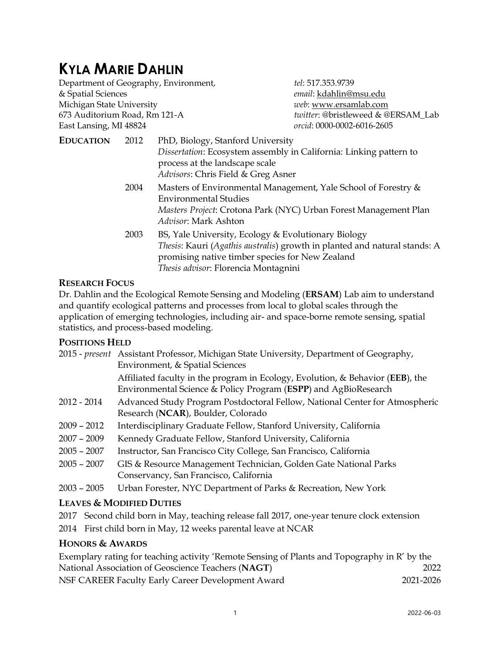# **KYLA MARIE DAHLIN**

Department of Geography, Environment, *tel*: 517.353.9739 & Spatial Sciences *email*: [kdahlin@msu.edu](mailto:kdahlin@msu.edu) Michigan State University *web*: [www.ersamlab.com](http://www.ersamlab.com/) 673 Auditorium Road, Rm 121-A *twitter*: @bristleweed & @ERSAM\_Lab East Lansing, MI 48824 *orcid*: 0000-0002-6016-2605 **EDUCATION** 2012 PhD, Biology, Stanford University *Dissertation*: Ecosystem assembly in California: Linking pattern to process at the landscape scale *Advisors*: Chris Field & Greg Asner 2004 Masters of Environmental Management, Yale School of Forestry  $&$ Environmental Studies *Masters Project*: Crotona Park (NYC) Urban Forest Management Plan *Advisor*: Mark Ashton 2003 BS, Yale University, Ecology & Evolutionary Biology

*Thesis*: Kauri (*Agathis australis*) growth in planted and natural stands: A promising native timber species for New Zealand *Thesis advisor*: Florencia Montagnini

#### **RESEARCH FOCUS**

Dr. Dahlin and the Ecological Remote Sensing and Modeling (**ERSAM**) Lab aim to understand and quantify ecological patterns and processes from local to global scales through the application of emerging technologies, including air- and space-borne remote sensing, spatial statistics, and process-based modeling.

#### **POSITIONS HELD**

|               | 2015 - <i>present</i> Assistant Professor, Michigan State University, Department of Geography, |
|---------------|------------------------------------------------------------------------------------------------|
|               | Environment, & Spatial Sciences                                                                |
|               | Affiliated faculty in the program in Ecology, Evolution, & Behavior (EEB), the                 |
|               | Environmental Science & Policy Program (ESPP) and AgBioResearch                                |
| $2012 - 2014$ | Advanced Study Program Postdoctoral Fellow, National Center for Atmospheric                    |
|               | Research (NCAR), Boulder, Colorado                                                             |
| $2009 - 2012$ | Interdisciplinary Graduate Fellow, Stanford University, California                             |
| $2007 - 2009$ | Kennedy Graduate Fellow, Stanford University, California                                       |
| $2005 - 2007$ | Instructor, San Francisco City College, San Francisco, California                              |
| $2005 - 2007$ | GIS & Resource Management Technician, Golden Gate National Parks                               |
|               | Conservancy, San Francisco, California                                                         |
| $2003 - 2005$ | Urban Forester, NYC Department of Parks & Recreation, New York                                 |

#### **LEAVES & MODIFIED DUTIES**

- 2017 Second child born in May, teaching release fall 2017, one-year tenure clock extension
- 2014 First child born in May, 12 weeks parental leave at NCAR

#### **HONORS & AWARDS**

| Exemplary rating for teaching activity 'Remote Sensing of Plants and Topography in R' by the |           |
|----------------------------------------------------------------------------------------------|-----------|
| National Association of Geoscience Teachers (NAGT)                                           | 2022      |
| NSF CAREER Faculty Early Career Development Award                                            | 2021-2026 |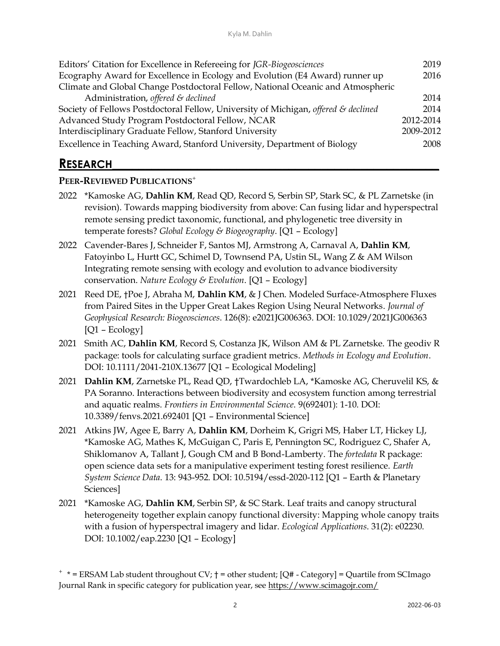| Editors' Citation for Excellence in Refereeing for JGR-Biogeosciences              |      |
|------------------------------------------------------------------------------------|------|
| Ecography Award for Excellence in Ecology and Evolution (E4 Award) runner up       |      |
| Climate and Global Change Postdoctoral Fellow, National Oceanic and Atmospheric    |      |
| Administration, offered & declined                                                 | 2014 |
| Society of Fellows Postdoctoral Fellow, University of Michigan, offered & declined |      |
| Advanced Study Program Postdoctoral Fellow, NCAR                                   |      |
| Interdisciplinary Graduate Fellow, Stanford University                             |      |
| Excellence in Teaching Award, Stanford University, Department of Biology           |      |

## **RESEARCH\_\_\_\_\_\_\_\_\_\_\_\_\_\_\_\_\_\_\_\_\_\_\_\_\_\_\_\_\_\_\_\_\_\_\_\_\_\_\_\_\_\_\_\_\_\_\_\_\_\_**

#### **PEER-REVIEWED PUBLICATIONS**<sup>+</sup>

- 2022 \*Kamoske AG, **Dahlin KM**, Read QD, Record S, Serbin SP, Stark SC, & PL Zarnetske (in revision). Towards mapping biodiversity from above: Can fusing lidar and hyperspectral remote sensing predict taxonomic, functional, and phylogenetic tree diversity in temperate forests? *Global Ecology & Biogeography*. [Q1 – Ecology]
- 2022 Cavender-Bares J, Schneider F, Santos MJ, Armstrong A, Carnaval A, **Dahlin KM**, Fatoyinbo L, Hurtt GC, Schimel D, Townsend PA, Ustin SL, Wang Z & AM Wilson Integrating remote sensing with ecology and evolution to advance biodiversity conservation. *Nature Ecology & Evolution*. [Q1 – Ecology]
- 2021 Reed DE, †Poe J, Abraha M, **Dahlin KM**, & J Chen. Modeled Surface-Atmosphere Fluxes from Paired Sites in the Upper Great Lakes Region Using Neural Networks. *Journal of Geophysical Research: Biogeosciences*. 126(8): e2021JG006363. DOI: 10.1029/2021JG006363 [Q1 – Ecology]
- 2021 Smith AC, **Dahlin KM**, Record S, Costanza JK, Wilson AM & PL Zarnetske. The geodiv R package: tools for calculating surface gradient metrics. *Methods in Ecology and Evolution*. DOI: 10.1111/2041-210X.13677 [Q1 – Ecological Modeling]
- 2021 **Dahlin KM**, Zarnetske PL, Read QD, †Twardochleb LA, \*Kamoske AG, Cheruvelil KS, & PA Soranno. Interactions between biodiversity and ecosystem function among terrestrial and aquatic realms. *Frontiers in Environmental Science*. 9(692401): 1-10. DOI: 10.3389/fenvs.2021.692401 [Q1 – Environmental Science]
- 2021 Atkins JW, Agee E, Barry A, **Dahlin KM**, Dorheim K, Grigri MS, Haber LT, Hickey LJ, \*Kamoske AG, Mathes K, McGuigan C, Paris E, Pennington SC, Rodriguez C, Shafer A, Shiklomanov A, Tallant J, Gough CM and B Bond-Lamberty. The *fortedata* R package: open science data sets for a manipulative experiment testing forest resilience. *Earth System Science Data*. 13: 943-952. DOI: 10.5194/essd-2020-112 [Q1 – Earth & Planetary Sciences]
- 2021 \*Kamoske AG, **Dahlin KM**, Serbin SP, & SC Stark. Leaf traits and canopy structural heterogeneity together explain canopy functional diversity: Mapping whole canopy traits with a fusion of hyperspectral imagery and lidar. *Ecological Applications*. 31(2): e02230. DOI: 10.1002/eap.2230 [Q1 – Ecology]

<sup>+</sup> \* = ERSAM Lab student throughout CV; † = other student; [Q# - Category] = Quartile from SCImago Journal Rank in specific category for publication year, see<https://www.scimagojr.com/>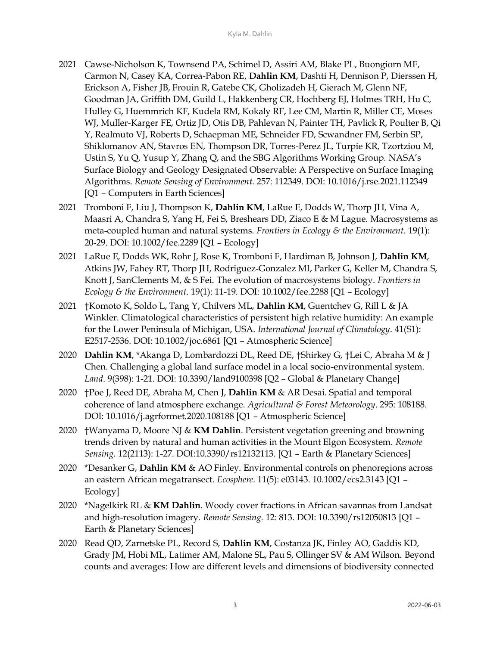- 2021 Cawse-Nicholson K, Townsend PA, Schimel D, Assiri AM, Blake PL, Buongiorn MF, Carmon N, Casey KA, Correa-Pabon RE, **Dahlin KM**, Dashti H, Dennison P, Dierssen H, Erickson A, Fisher JB, Frouin R, Gatebe CK, Gholizadeh H, Gierach M, Glenn NF, Goodman JA, Griffith DM, Guild L, Hakkenberg CR, Hochberg EJ, Holmes TRH, Hu C, Hulley G, Huemmrich KF, Kudela RM, Kokaly RF, Lee CM, Martin R, Miller CE, Moses WJ, Muller-Karger FE, Ortiz JD, Otis DB, Pahlevan N, Painter TH, Pavlick R, Poulter B, Qi Y, Realmuto VJ, Roberts D, Schaepman ME, Schneider FD, Scwandner FM, Serbin SP, Shiklomanov AN, Stavros EN, Thompson DR, Torres-Perez JL, Turpie KR, Tzortziou M, Ustin S, Yu Q, Yusup Y, Zhang Q, and the SBG Algorithms Working Group. NASA's Surface Biology and Geology Designated Observable: A Perspective on Surface Imaging Algorithms. *Remote Sensing of Environment*. 257: 112349. DOI: 10.1016/j.rse.2021.112349 [Q1 – Computers in Earth Sciences]
- 2021 Tromboni F, Liu J, Thompson K, **Dahlin KM**, LaRue E, Dodds W, Thorp JH, Vina A, Maasri A, Chandra S, Yang H, Fei S, Breshears DD, Ziaco E & M Lague. Macrosystems as meta-coupled human and natural systems. *Frontiers in Ecology & the Environment*. 19(1): 20-29. DOI: 10.1002/fee.2289 [Q1 – Ecology]
- 2021 LaRue E, Dodds WK, Rohr J, Rose K, Tromboni F, Hardiman B, Johnson J, **Dahlin KM**, Atkins JW, Fahey RT, Thorp JH, Rodriguez-Gonzalez MI, Parker G, Keller M, Chandra S, Knott J, SanClements M, & S Fei. The evolution of macrosystems biology. *Frontiers in Ecology & the Environment*. 19(1): 11-19. DOI: 10.1002/fee.2288 [Q1 – Ecology]
- 2021 †Komoto K, Soldo L, Tang Y, Chilvers ML, **Dahlin KM**, Guentchev G, Rill L & JA Winkler. Climatological characteristics of persistent high relative humidity: An example for the Lower Peninsula of Michigan, USA. *International Journal of Climatology*. 41(S1): E2517-2536. DOI: 10.1002/joc.6861 [Q1 – Atmospheric Science]
- 2020 **Dahlin KM**, \*Akanga D, Lombardozzi DL, Reed DE, †Shirkey G, †Lei C, Abraha M & J Chen. Challenging a global land surface model in a local socio-environmental system. *Land*. 9(398): 1-21. DOI: 10.3390/land9100398 [Q2 – Global & Planetary Change]
- 2020 †Poe J, Reed DE, Abraha M, Chen J, **Dahlin KM** & AR Desai. Spatial and temporal coherence of land atmosphere exchange. *Agricultural & Forest Meteorology*. 295: 108188. DOI: 10.1016/j.agrformet.2020.108188 [Q1 – Atmospheric Science]
- 2020 †Wanyama D, Moore NJ & **KM Dahlin**. Persistent vegetation greening and browning trends driven by natural and human activities in the Mount Elgon Ecosystem. *Remote Sensing.* 12(2113): 1-27. DOI:10.3390/rs12132113. [Q1 – Earth & Planetary Sciences]
- 2020 \*Desanker G, **Dahlin KM** & AO Finley. Environmental controls on phenoregions across an eastern African megatransect. *Ecosphere*. 11(5): e03143. 10.1002/ecs2.3143 [Q1 – Ecology]
- 2020 \*Nagelkirk RL & **KM Dahlin**. Woody cover fractions in African savannas from Landsat and high-resolution imagery. *Remote Sensing*. 12: 813. DOI: 10.3390/rs12050813 [Q1 – Earth & Planetary Sciences]
- 2020 Read QD, Zarnetske PL, Record S, **Dahlin KM**, Costanza JK, Finley AO, Gaddis KD, Grady JM, Hobi ML, Latimer AM, Malone SL, Pau S, Ollinger SV & AM Wilson. Beyond counts and averages: How are different levels and dimensions of biodiversity connected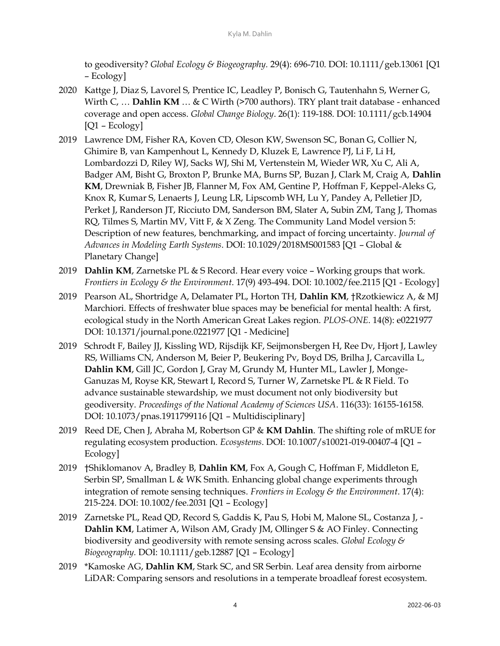to geodiversity? *Global Ecology & Biogeography.* 29(4): 696-710. DOI: 10.1111/geb.13061 [Q1 – Ecology]

- 2020 Kattge J, Diaz S, Lavorel S, Prentice IC, Leadley P, Bonisch G, Tautenhahn S, Werner G, Wirth C, ... **Dahlin KM** ... & C Wirth (>700 authors). TRY plant trait database - enhanced coverage and open access. *Global Change Biology*. 26(1): 119-188. DOI: 10.1111/gcb.14904 [Q1 – Ecology]
- 2019 Lawrence DM, Fisher RA, Koven CD, Oleson KW, Swenson SC, Bonan G, Collier N, Ghimire B, van Kampenhout L, Kennedy D, Kluzek E, Lawrence PJ, Li F, Li H, Lombardozzi D, Riley WJ, Sacks WJ, Shi M, Vertenstein M, Wieder WR, Xu C, Ali A, Badger AM, Bisht G, Broxton P, Brunke MA, Burns SP, Buzan J, Clark M, Craig A, **Dahlin KM**, Drewniak B, Fisher JB, Flanner M, Fox AM, Gentine P, Hoffman F, Keppel-Aleks G, Knox R, Kumar S, Lenaerts J, Leung LR, Lipscomb WH, Lu Y, Pandey A, Pelletier JD, Perket J, Randerson JT, Ricciuto DM, Sanderson BM, Slater A, Subin ZM, Tang J, Thomas RQ, Tilmes S, Martin MV, Vitt F, & X Zeng. The Community Land Model version 5: Description of new features, benchmarking, and impact of forcing uncertainty. *Journal of Advances in Modeling Earth Systems*. DOI: 10.1029/2018MS001583 [Q1 – Global & Planetary Change]
- 2019 **Dahlin KM**, Zarnetske PL & S Record. Hear every voice Working groups that work. *Frontiers in Ecology & the Environment*. 17(9) 493-494. DOI: 10.1002/fee.2115 [Q1 - Ecology]
- 2019 Pearson AL, Shortridge A, Delamater PL, Horton TH, **Dahlin KM**, †Rzotkiewicz A, & MJ Marchiori. Effects of freshwater blue spaces may be beneficial for mental health: A first, ecological study in the North American Great Lakes region. *PLOS-ONE*. 14(8): e0221977 DOI: 10.1371/journal.pone.0221977 [Q1 - Medicine]
- 2019 Schrodt F, Bailey JJ, Kissling WD, Rijsdijk KF, Seijmonsbergen H, Ree Dv, Hjort J, Lawley RS, Williams CN, Anderson M, Beier P, Beukering Pv, Boyd DS, Brilha J, Carcavilla L, **Dahlin KM**, Gill JC, Gordon J, Gray M, Grundy M, Hunter ML, Lawler J, Monge-Ganuzas M, Royse KR, Stewart I, Record S, Turner W, Zarnetske PL & R Field. To advance sustainable stewardship, we must document not only biodiversity but geodiversity. *Proceedings of the National Academy of Sciences USA*. 116(33): 16155-16158. DOI: 10.1073/pnas.1911799116 [Q1 – Multidisciplinary]
- 2019 Reed DE, Chen J, Abraha M, Robertson GP & **KM Dahlin**. The shifting role of mRUE for regulating ecosystem production. *Ecosystems*. DOI: 10.1007/s10021-019-00407-4 [Q1 – Ecology]
- 2019 †Shiklomanov A, Bradley B, **Dahlin KM**, Fox A, Gough C, Hoffman F, Middleton E, Serbin SP, Smallman L & WK Smith. Enhancing global change experiments through integration of remote sensing techniques. *Frontiers in Ecology & the Environment*. 17(4): 215-224. DOI: 10.1002/fee.2031 [Q1 – Ecology]
- 2019 Zarnetske PL, Read QD, Record S, Gaddis K, Pau S, Hobi M, Malone SL, Costanza J, **Dahlin KM**, Latimer A, Wilson AM, Grady JM, Ollinger S & AO Finley. Connecting biodiversity and geodiversity with remote sensing across scales. *Global Ecology & Biogeography.* DOI: 10.1111/geb.12887 [Q1 – Ecology]
- 2019 \*Kamoske AG, **Dahlin KM**, Stark SC, and SR Serbin. Leaf area density from airborne LiDAR: Comparing sensors and resolutions in a temperate broadleaf forest ecosystem.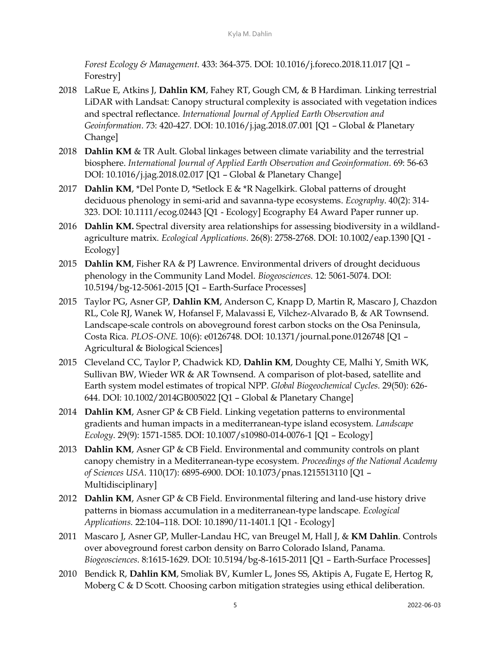*Forest Ecology & Management*. 433: 364-375. DOI: 10.1016/j.foreco.2018.11.017 [Q1 – Forestry]

- 2018 LaRue E, Atkins J, **Dahlin KM**, Fahey RT, Gough CM, & B Hardiman. Linking terrestrial LiDAR with Landsat: Canopy structural complexity is associated with vegetation indices and spectral reflectance. *International Journal of Applied Earth Observation and Geoinformation.* 73: 420-427. DOI: 10.1016/j.jag.2018.07.001 [Q1 – Global & Planetary Change]
- 2018 **Dahlin KM** & TR Ault. Global linkages between climate variability and the terrestrial biosphere. *International Journal of Applied Earth Observation and Geoinformation.* 69: 56-63 DOI: 10.1016/j.jag.2018.02.017 [Q1 – Global & Planetary Change]
- 2017 **Dahlin KM**, \*Del Ponte D, \*Setlock E & \*R Nagelkirk. Global patterns of drought deciduous phenology in semi-arid and savanna-type ecosystems. *Ecography*. 40(2): 314- 323. DOI: 10.1111/ecog.02443 [Q1 - Ecology] Ecography E4 Award Paper runner up.
- 2016 **Dahlin KM.** Spectral diversity area relationships for assessing biodiversity in a wildlandagriculture matrix. *Ecological Applications.* 26(8): 2758-2768. DOI: 10.1002/eap.1390 [Q1 - Ecology]
- 2015 **Dahlin KM**, Fisher RA & PJ Lawrence. Environmental drivers of drought deciduous phenology in the Community Land Model. *Biogeosciences*. 12: 5061-5074. DOI: 10.5194/bg-12-5061-2015 [Q1 – Earth-Surface Processes]
- 2015 Taylor PG, Asner GP, **Dahlin KM**, Anderson C, Knapp D, Martin R, Mascaro J, Chazdon RL, Cole RJ, Wanek W, Hofansel F, Malavassi E, Vilchez-Alvarado B, & AR Townsend. Landscape-scale controls on aboveground forest carbon stocks on the Osa Peninsula, Costa Rica. *PLOS-ONE.* 10(6): e0126748. DOI: 10.1371/journal.pone.0126748 [Q1 – Agricultural & Biological Sciences]
- 2015 Cleveland CC, Taylor P, Chadwick KD, **Dahlin KM**, Doughty CE, Malhi Y, Smith WK, Sullivan BW, Wieder WR & AR Townsend. A comparison of plot-based, satellite and Earth system model estimates of tropical NPP. *Global Biogeochemical Cycles.* 29(50): 626- 644. DOI: 10.1002/2014GB005022 [Q1 – Global & Planetary Change]
- 2014 **Dahlin KM**, Asner GP & CB Field. Linking vegetation patterns to environmental gradients and human impacts in a mediterranean-type island ecosystem*. Landscape Ecology*. 29(9): 1571-1585. DOI: 10.1007/s10980-014-0076-1 [Q1 – Ecology]
- 2013 **Dahlin KM**, Asner GP & CB Field. Environmental and community controls on plant canopy chemistry in a Mediterranean-type ecosystem*. Proceedings of the National Academy of Sciences USA*. 110(17): 6895-6900. DOI: 10.1073/pnas.1215513110 [Q1 – Multidisciplinary]
- 2012 **Dahlin KM**, Asner GP & CB Field. Environmental filtering and land-use history drive patterns in biomass accumulation in a mediterranean-type landscape*. Ecological Applications*. 22:104–118. DOI: 10.1890/11-1401.1 [Q1 - Ecology]
- 2011 Mascaro J, Asner GP, Muller-Landau HC, van Breugel M, Hall J, & **KM Dahlin**. Controls over aboveground forest carbon density on Barro Colorado Island, Panama. *Biogeosciences*. 8:1615-1629. DOI: 10.5194/bg-8-1615-2011 [Q1 – Earth-Surface Processes]
- 2010 Bendick R, **Dahlin KM**, Smoliak BV, Kumler L, Jones SS, Aktipis A, Fugate E, Hertog R, Moberg C & D Scott. Choosing carbon mitigation strategies using ethical deliberation.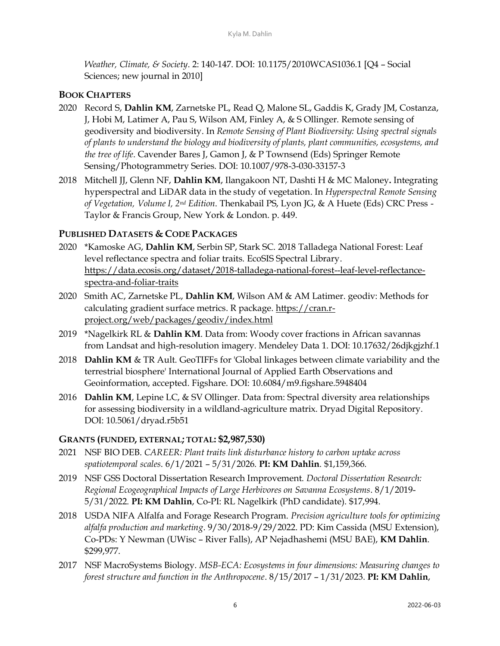*Weather, Climate, & Society*. 2: 140-147. DOI: 10.1175/2010WCAS1036.1 [Q4 – Social Sciences; new journal in 2010]

#### **BOOK CHAPTERS**

- 2020 Record S, **Dahlin KM**, Zarnetske PL, Read Q, Malone SL, Gaddis K, Grady JM, Costanza, J, Hobi M, Latimer A, Pau S, Wilson AM, Finley A, & S Ollinger. Remote sensing of geodiversity and biodiversity. In *Remote Sensing of Plant Biodiversity: Using spectral signals of plants to understand the biology and biodiversity of plants, plant communities, ecosystems, and the tree of life*. Cavender Bares J, Gamon J, & P Townsend (Eds) Springer Remote Sensing/Photogrammetry Series. DOI: 10.1007/978-3-030-33157-3
- 2018 Mitchell JJ, Glenn NF, **Dahlin KM**, Ilangakoon NT, Dashti H & MC Maloney**.** Integrating hyperspectral and LiDAR data in the study of vegetation. In *Hyperspectral Remote Sensing of Vegetation, Volume I, 2nd Edition*. Thenkabail PS, Lyon JG, & A Huete (Eds) CRC Press - Taylor & Francis Group, New York & London. p. 449.

#### **PUBLISHED DATASETS & CODE PACKAGES**

- 2020 \*Kamoske AG, **Dahlin KM**, Serbin SP, Stark SC. 2018 Talladega National Forest: Leaf level reflectance spectra and foliar traits. EcoSIS Spectral Library. [https://data.ecosis.org/dataset/2018-talladega-national-forest--leaf-level-reflectance](https://data.ecosis.org/dataset/2018-talladega-national-forest--leaf-level-reflectance-spectra-and-foliar-traits)[spectra-and-foliar-traits](https://data.ecosis.org/dataset/2018-talladega-national-forest--leaf-level-reflectance-spectra-and-foliar-traits)
- 2020 Smith AC, Zarnetske PL, **Dahlin KM**, Wilson AM & AM Latimer. geodiv: Methods for calculating gradient surface metrics. R package[. https://cran.r](https://cran.r-project.org/web/packages/geodiv/index.html)[project.org/web/packages/geodiv/index.html](https://cran.r-project.org/web/packages/geodiv/index.html)
- 2019 \*Nagelkirk RL & **Dahlin KM**. Data from: Woody cover fractions in African savannas from Landsat and high-resolution imagery. Mendeley Data 1. DOI: 10.17632/26djkgjzhf.1
- 2018 **Dahlin KM** & TR Ault. GeoTIFFs for 'Global linkages between climate variability and the terrestrial biosphere' International Journal of Applied Earth Observations and Geoinformation, accepted. Figshare. DOI: 10.6084/m9.figshare.5948404
- 2016 **Dahlin KM**, Lepine LC, & SV Ollinger. Data from: Spectral diversity area relationships for assessing biodiversity in a wildland-agriculture matrix. Dryad Digital Repository. DOI: 10.5061/dryad.r5b51

#### **GRANTS (FUNDED, EXTERNAL; TOTAL: \$2,987,530)**

- 2021 NSF BIO DEB. *CAREER: Plant traits link disturbance history to carbon uptake across spatiotemporal scales*. 6/1/2021 – 5/31/2026. **PI: KM Dahlin**. \$1,159,366.
- 2019 NSF GSS Doctoral Dissertation Research Improvement. *Doctoral Dissertation Research: Regional Ecogeographical Impacts of Large Herbivores on Savanna Ecosystems*. 8/1/2019- 5/31/2022. **PI: KM Dahlin**, Co-PI: RL Nagelkirk (PhD candidate). \$17,994.
- 2018 USDA NIFA Alfalfa and Forage Research Program. *Precision agriculture tools for optimizing alfalfa production and marketing*. 9/30/2018-9/29/2022. PD: Kim Cassida (MSU Extension), Co-PDs: Y Newman (UWisc – River Falls), AP Nejadhashemi (MSU BAE), **KM Dahlin**. \$299,977.
- 2017 NSF MacroSystems Biology. *MSB-ECA: Ecosystems in four dimensions: Measuring changes to forest structure and function in the Anthropocene*. 8/15/2017 – 1/31/2023. **PI: KM Dahlin**,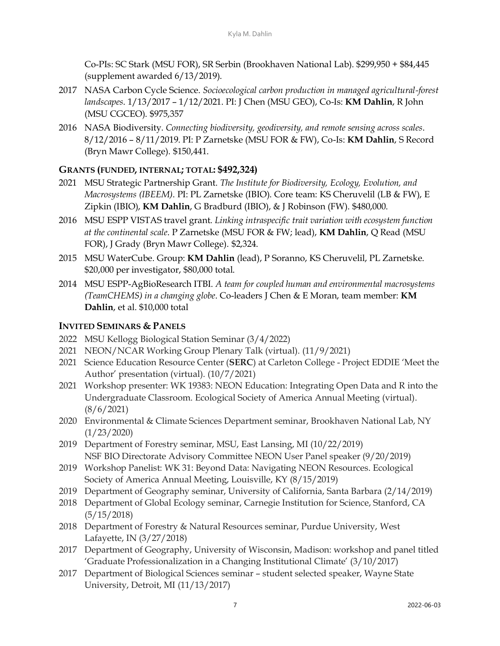Co-PIs: SC Stark (MSU FOR), SR Serbin (Brookhaven National Lab). \$299,950 + \$84,445 (supplement awarded 6/13/2019).

- 2017 NASA Carbon Cycle Science. *Socioecological carbon production in managed agricultural-forest landscapes*. 1/13/2017 – 1/12/2021. PI: J Chen (MSU GEO), Co-Is: **KM Dahlin**, R John (MSU CGCEO). \$975,357
- 2016 NASA Biodiversity. *Connecting biodiversity, geodiversity, and remote sensing across scales*. 8/12/2016 – 8/11/2019. PI: P Zarnetske (MSU FOR & FW), Co-Is: **KM Dahlin**, S Record (Bryn Mawr College). \$150,441.

#### **GRANTS (FUNDED, INTERNAL; TOTAL: \$492,324)**

- 2021 MSU Strategic Partnership Grant. *The Institute for Biodiversity, Ecology, Evolution, and Macrosystems (IBEEM)*. PI: PL Zarnetske (IBIO). Core team: KS Cheruvelil (LB & FW), E Zipkin (IBIO), **KM Dahlin**, G Bradburd (IBIO), & J Robinson (FW). \$480,000.
- 2016 MSU ESPP VISTAS travel grant. *Linking intraspecific trait variation with ecosystem function at the continental scale*. P Zarnetske (MSU FOR & FW; lead), **KM Dahlin**, Q Read (MSU FOR), J Grady (Bryn Mawr College). \$2,324.
- 2015 MSU WaterCube. Group: **KM Dahlin** (lead), P Soranno, KS Cheruvelil, PL Zarnetske. \$20,000 per investigator, \$80,000 total.
- 2014 MSU ESPP-AgBioResearch ITBI. *A team for coupled human and environmental macrosystems (TeamCHEMS) in a changing globe*. Co-leaders J Chen & E Moran, team member: **KM Dahlin**, et al. \$10,000 total

#### **INVITED SEMINARS & PANELS**

- 2022 MSU Kellogg Biological Station Seminar (3/4/2022)
- 2021 NEON/NCAR Working Group Plenary Talk (virtual). (11/9/2021)
- 2021 Science Education Resource Center (**SERC**) at Carleton College Project EDDIE 'Meet the Author' presentation (virtual). (10/7/2021)
- 2021 Workshop presenter: WK 19383: NEON Education: Integrating Open Data and R into the Undergraduate Classroom. Ecological Society of America Annual Meeting (virtual). (8/6/2021)
- 2020 Environmental & Climate Sciences Department seminar, Brookhaven National Lab, NY (1/23/2020)
- 2019 Department of Forestry seminar, MSU, East Lansing, MI (10/22/2019) NSF BIO Directorate Advisory Committee NEON User Panel speaker (9/20/2019)
- 2019 Workshop Panelist: WK 31: Beyond Data: Navigating NEON Resources. Ecological Society of America Annual Meeting, Louisville, KY (8/15/2019)
- 2019 Department of Geography seminar, University of California, Santa Barbara (2/14/2019)
- 2018 Department of Global Ecology seminar, Carnegie Institution for Science, Stanford, CA (5/15/2018)
- 2018 Department of Forestry & Natural Resources seminar, Purdue University, West Lafayette, IN (3/27/2018)
- 2017 Department of Geography, University of Wisconsin, Madison: workshop and panel titled 'Graduate Professionalization in a Changing Institutional Climate' (3/10/2017)
- 2017 Department of Biological Sciences seminar student selected speaker, Wayne State University, Detroit, MI (11/13/2017)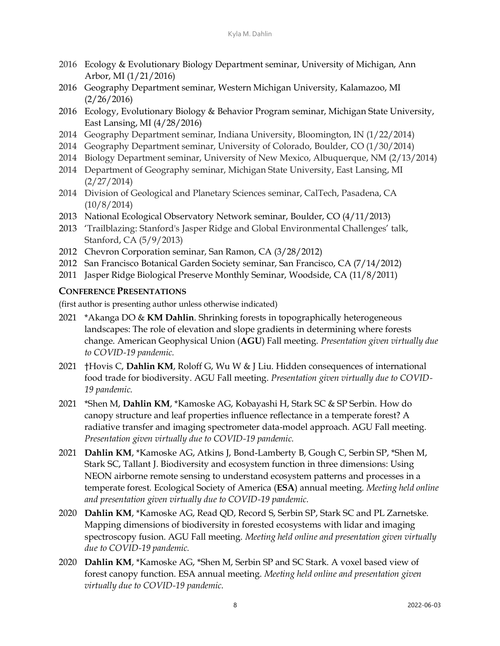- 2016 Ecology & Evolutionary Biology Department seminar, University of Michigan, Ann Arbor, MI (1/21/2016)
- 2016 Geography Department seminar, Western Michigan University, Kalamazoo, MI (2/26/2016)
- 2016 Ecology, Evolutionary Biology & Behavior Program seminar, Michigan State University, East Lansing, MI (4/28/2016)
- 2014 Geography Department seminar, Indiana University, Bloomington, IN (1/22/2014)
- 2014 Geography Department seminar, University of Colorado, Boulder, CO (1/30/2014)
- 2014 Biology Department seminar, University of New Mexico, Albuquerque, NM (2/13/2014)
- 2014 Department of Geography seminar, Michigan State University, East Lansing, MI (2/27/2014)
- 2014 Division of Geological and Planetary Sciences seminar, CalTech, Pasadena, CA (10/8/2014)
- 2013 National Ecological Observatory Network seminar, Boulder, CO (4/11/2013)
- 2013 'Trailblazing: Stanford's Jasper Ridge and Global Environmental Challenges' talk, Stanford, CA (5/9/2013)
- 2012 Chevron Corporation seminar, San Ramon, CA (3/28/2012)
- 2012 San Francisco Botanical Garden Society seminar, San Francisco, CA (7/14/2012)
- 2011 Jasper Ridge Biological Preserve Monthly Seminar, Woodside, CA (11/8/2011)

#### **CONFERENCE PRESENTATIONS**

(first author is presenting author unless otherwise indicated)

- 2021 \*Akanga DO & **KM Dahlin**. Shrinking forests in topographically heterogeneous landscapes: The role of elevation and slope gradients in determining where forests change. American Geophysical Union (**AGU**) Fall meeting. *Presentation given virtually due to COVID-19 pandemic.*
- 2021 †Hovis C, **Dahlin KM**, Roloff G, Wu W & J Liu. Hidden consequences of international food trade for biodiversity. AGU Fall meeting. *Presentation given virtually due to COVID-19 pandemic.*
- 2021 \*Shen M, **Dahlin KM**, \*Kamoske AG, Kobayashi H, Stark SC & SP Serbin. How do canopy structure and leaf properties influence reflectance in a temperate forest? A radiative transfer and imaging spectrometer data-model approach. AGU Fall meeting. *Presentation given virtually due to COVID-19 pandemic.*
- 2021 **Dahlin KM**, \*Kamoske AG, Atkins J, Bond-Lamberty B, Gough C, Serbin SP, \*Shen M, Stark SC, Tallant J. Biodiversity and ecosystem function in three dimensions: Using NEON airborne remote sensing to understand ecosystem patterns and processes in a temperate forest. Ecological Society of America (**ESA**) annual meeting. *Meeting held online and presentation given virtually due to COVID-19 pandemic.*
- 2020 **Dahlin KM**, \*Kamoske AG, Read QD, Record S, Serbin SP, Stark SC and PL Zarnetske. Mapping dimensions of biodiversity in forested ecosystems with lidar and imaging spectroscopy fusion. AGU Fall meeting. *Meeting held online and presentation given virtually due to COVID-19 pandemic.*
- 2020 **Dahlin KM**, \*Kamoske AG, \*Shen M, Serbin SP and SC Stark. A voxel based view of forest canopy function. ESA annual meeting. *Meeting held online and presentation given virtually due to COVID-19 pandemic.*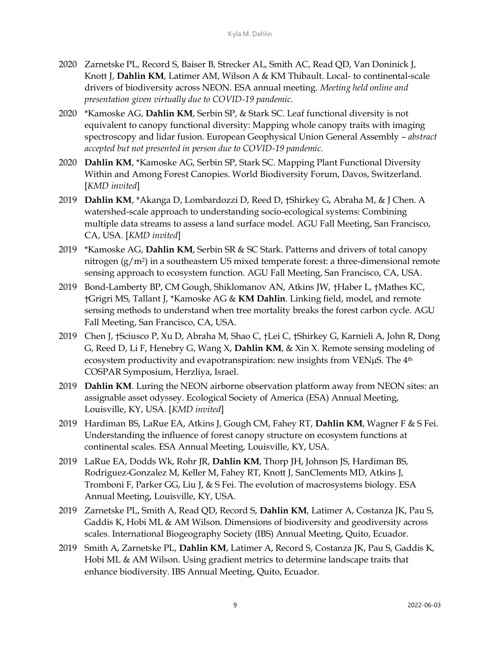- 2020 Zarnetske PL, Record S, Baiser B, Strecker AL, Smith AC, Read QD, Van Doninick J, Knott J, **Dahlin KM**, Latimer AM, Wilson A & KM Thibault. Local- to continental-scale drivers of biodiversity across NEON. ESA annual meeting. *Meeting held online and presentation given virtually due to COVID-19 pandemic.*
- 2020 \*Kamoske AG, **Dahlin KM**, Serbin SP, & Stark SC. Leaf functional diversity is not equivalent to canopy functional diversity: Mapping whole canopy traits with imaging spectroscopy and lidar fusion. European Geophysical Union General Assembly – *abstract accepted but not presented in person due to COVID-19 pandemic*.
- 2020 **Dahlin KM**, \*Kamoske AG, Serbin SP, Stark SC. Mapping Plant Functional Diversity Within and Among Forest Canopies. World Biodiversity Forum, Davos, Switzerland. [*KMD invited*]
- 2019 **Dahlin KM**, \*Akanga D, Lombardozzi D, Reed D, †Shirkey G, Abraha M, & J Chen. A watershed-scale approach to understanding socio-ecological systems: Combining multiple data streams to assess a land surface model. AGU Fall Meeting, San Francisco, CA, USA*.* [*KMD invited*]
- 2019 \*Kamoske AG, **Dahlin KM**, Serbin SR & SC Stark. Patterns and drivers of total canopy nitrogen  $(g/m^2)$  in a southeastern US mixed temperate forest: a three-dimensional remote sensing approach to ecosystem function. AGU Fall Meeting, San Francisco, CA, USA*.*
- 2019 Bond-Lamberty BP, CM Gough, Shiklomanov AN, Atkins JW, †Haber L, †Mathes KC, †Grigri MS, Tallant J, \*Kamoske AG & **KM Dahlin**. Linking field, model, and remote sensing methods to understand when tree mortality breaks the forest carbon cycle. AGU Fall Meeting, San Francisco, CA, USA.
- 2019 Chen J, †Sciusco P, Xu D, Abraha M, Shao C, †Lei C, †Shirkey G, Karnieli A, John R, Dong G, Reed D, Li F, Henebry G, Wang X, **Dahlin KM**, & Xin X. Remote sensing modeling of ecosystem productivity and evapotranspiration: new insights from VEN $\mu$ S. The  $4<sup>th</sup>$ COSPAR Symposium, Herzliya, Israel.
- 2019 **Dahlin KM**. Luring the NEON airborne observation platform away from NEON sites: an assignable asset odyssey. Ecological Society of America (ESA) Annual Meeting, Louisville, KY, USA. [*KMD invited*]
- 2019 Hardiman BS, LaRue EA, Atkins J, Gough CM, Fahey RT, **Dahlin KM**, Wagner F & S Fei. Understanding the influence of forest canopy structure on ecosystem functions at continental scales. ESA Annual Meeting, Louisville, KY, USA.
- 2019 LaRue EA, Dodds Wk, Rohr JR, **Dahlin KM**, Thorp JH, Johnson JS, Hardiman BS, Rodriguez-Gonzalez M, Keller M, Fahey RT, Knott J, SanClements MD, Atkins J, Tromboni F, Parker GG, Liu J, & S Fei. The evolution of macrosystems biology. ESA Annual Meeting, Louisville, KY, USA.
- 2019 Zarnetske PL, Smith A, Read QD, Record S, **Dahlin KM**, Latimer A, Costanza JK, Pau S, Gaddis K, Hobi ML & AM Wilson. Dimensions of biodiversity and geodiversity across scales. International Biogeography Society (IBS) Annual Meeting, Quito, Ecuador.
- 2019 Smith A, Zarnetske PL, **Dahlin KM**, Latimer A, Record S, Costanza JK, Pau S, Gaddis K, Hobi ML & AM Wilson. Using gradient metrics to determine landscape traits that enhance biodiversity. IBS Annual Meeting, Quito, Ecuador.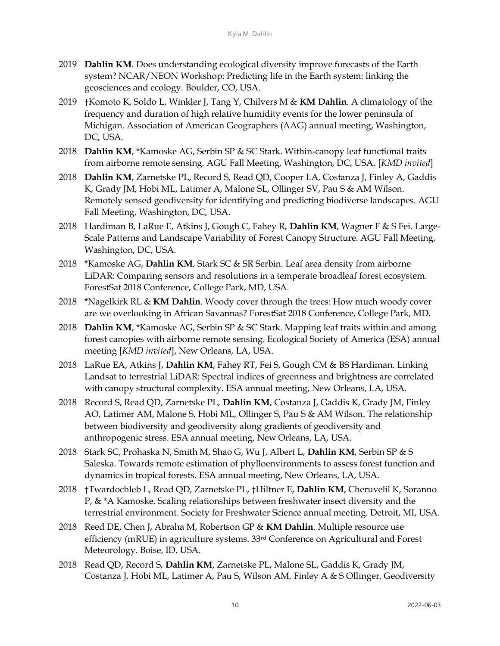- 2019 **Dahlin KM**. Does understanding ecological diversity improve forecasts of the Earth system? NCAR/NEON Workshop: Predicting life in the Earth system: linking the geosciences and ecology. Boulder, CO, USA.
- 2019 †Komoto K, Soldo L, Winkler J, Tang Y, Chilvers M & **KM Dahlin**. A climatology of the frequency and duration of high relative humidity events for the lower peninsula of Michigan. Association of American Geographers (AAG) annual meeting, Washington, DC, USA.
- 2018 **Dahlin KM**, \*Kamoske AG, Serbin SP & SC Stark. Within-canopy leaf functional traits from airborne remote sensing. AGU Fall Meeting, Washington, DC, USA*.* [*KMD invited*]
- 2018 **Dahlin KM**, Zarnetske PL, Record S, Read QD, Cooper LA, Costanza J, Finley A, Gaddis K, Grady JM, Hobi ML, Latimer A, Malone SL, Ollinger SV, Pau S & AM Wilson. Remotely sensed geodiversity for identifying and predicting biodiverse landscapes. AGU Fall Meeting, Washington, DC, USA.
- 2018 Hardiman B, LaRue E, Atkins J, Gough C, Fahey R, **Dahlin KM**, Wagner F & S Fei. Large-Scale Patterns and Landscape Variability of Forest Canopy Structure. AGU Fall Meeting, Washington, DC, USA.
- 2018 \*Kamoske AG, **Dahlin KM**, Stark SC & SR Serbin. Leaf area density from airborne LiDAR: Comparing sensors and resolutions in a temperate broadleaf forest ecosystem. ForestSat 2018 Conference, College Park, MD, USA.
- 2018 \*Nagelkirk RL & **KM Dahlin**. Woody cover through the trees: How much woody cover are we overlooking in African Savannas? ForestSat 2018 Conference, College Park, MD.
- 2018 **Dahlin KM**, \*Kamoske AG, Serbin SP & SC Stark. Mapping leaf traits within and among forest canopies with airborne remote sensing. Ecological Society of America (ESA) annual meeting [*KMD invited*], New Orleans, LA, USA.
- 2018 LaRue EA, Atkins J, **Dahlin KM**, Fahey RT, Fei S, Gough CM & BS Hardiman. Linking Landsat to terrestrial LiDAR: Spectral indices of greenness and brightness are correlated with canopy structural complexity. ESA annual meeting, New Orleans, LA, USA.
- 2018 Record S, Read QD, Zarnetske PL, **Dahlin KM**, Costanza J, Gaddis K, Grady JM, Finley AO, Latimer AM, Malone S, Hobi ML, Ollinger S, Pau S & AM Wilson. The relationship between biodiversity and geodiversity along gradients of geodiversity and anthropogenic stress. ESA annual meeting, New Orleans, LA, USA.
- 2018 Stark SC, Prohaska N, Smith M, Shao G, Wu J, Albert L, **Dahlin KM**, Serbin SP & S Saleska. Towards remote estimation of phylloenvironments to assess forest function and dynamics in tropical forests. ESA annual meeting, New Orleans, LA, USA.
- 2018 †Twardochleb L, Read QD, Zarnetske PL, †Hiltner E, **Dahlin KM**, Cheruvelil K, Soranno P, & \*A Kamoske. Scaling relationships between freshwater insect diversity and the terrestrial environment. Society for Freshwater Science annual meeting. Detroit, MI, USA*.*
- 2018 Reed DE, Chen J, Abraha M, Robertson GP & **KM Dahlin**. Multiple resource use efficiency (mRUE) in agriculture systems. 33rd Conference on Agricultural and Forest Meteorology. Boise, ID, USA.
- 2018 Read QD, Record S, **Dahlin KM**, Zarnetske PL, Malone SL, Gaddis K, Grady JM, Costanza J, Hobi ML, Latimer A, Pau S, Wilson AM, Finley A & S Ollinger. Geodiversity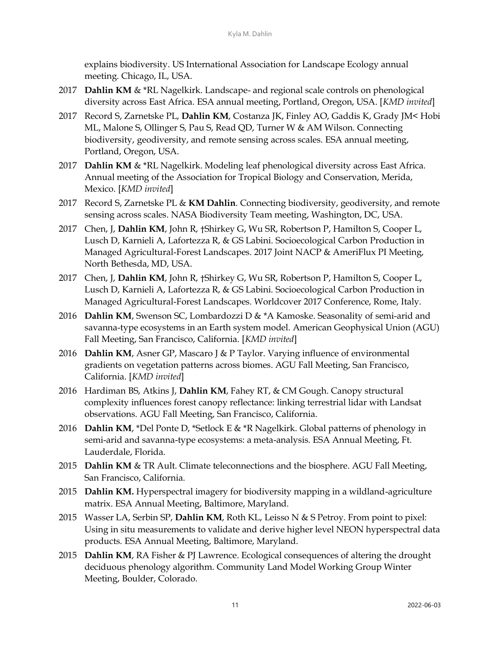explains biodiversity. US International Association for Landscape Ecology annual meeting. Chicago, IL, USA.

- 2017 **Dahlin KM** & \*RL Nagelkirk. Landscape- and regional scale controls on phenological diversity across East Africa. ESA annual meeting, Portland, Oregon, USA. [*KMD invited*]
- 2017 Record S, Zarnetske PL, **Dahlin KM**, Costanza JK, Finley AO, Gaddis K, Grady JM< Hobi ML, Malone S, Ollinger S, Pau S, Read QD, Turner W & AM Wilson. Connecting biodiversity, geodiversity, and remote sensing across scales. ESA annual meeting, Portland, Oregon, USA.
- 2017 **Dahlin KM** & \*RL Nagelkirk. Modeling leaf phenological diversity across East Africa. Annual meeting of the Association for Tropical Biology and Conservation, Merida, Mexico. [*KMD invited*]
- 2017 Record S, Zarnetske PL & **KM Dahlin**. Connecting biodiversity, geodiversity, and remote sensing across scales. NASA Biodiversity Team meeting, Washington, DC, USA.
- 2017 Chen, J, **Dahlin KM**, John R, †Shirkey G, Wu SR, Robertson P, Hamilton S, Cooper L, Lusch D, Karnieli A, Lafortezza R, & GS Labini. Socioecological Carbon Production in Managed Agricultural-Forest Landscapes. 2017 Joint NACP & AmeriFlux PI Meeting, North Bethesda, MD, USA.
- 2017 Chen, J, **Dahlin KM**, John R, †Shirkey G, Wu SR, Robertson P, Hamilton S, Cooper L, Lusch D, Karnieli A, Lafortezza R, & GS Labini. Socioecological Carbon Production in Managed Agricultural-Forest Landscapes. Worldcover 2017 Conference, Rome, Italy.
- 2016 **Dahlin KM**, Swenson SC, Lombardozzi D & \*A Kamoske. Seasonality of semi-arid and savanna-type ecosystems in an Earth system model. American Geophysical Union (AGU) Fall Meeting, San Francisco, California. [*KMD invited*]
- 2016 **Dahlin KM**, Asner GP, Mascaro J & P Taylor. Varying influence of environmental gradients on vegetation patterns across biomes. AGU Fall Meeting, San Francisco, California. [*KMD invited*]
- 2016 Hardiman BS, Atkins J, **Dahlin KM**, Fahey RT, & CM Gough. Canopy structural complexity influences forest canopy reflectance: linking terrestrial lidar with Landsat observations. AGU Fall Meeting, San Francisco, California.
- 2016 **Dahlin KM**, \*Del Ponte D, \*Setlock E & \*R Nagelkirk. Global patterns of phenology in semi-arid and savanna-type ecosystems: a meta-analysis. ESA Annual Meeting, Ft. Lauderdale, Florida.
- 2015 **Dahlin KM** & TR Ault. Climate teleconnections and the biosphere. AGU Fall Meeting, San Francisco, California.
- 2015 **Dahlin KM.** Hyperspectral imagery for biodiversity mapping in a wildland-agriculture matrix. ESA Annual Meeting, Baltimore, Maryland.
- 2015 Wasser LA, Serbin SP, **Dahlin KM**, Roth KL, Leisso N & S Petroy. From point to pixel: Using in situ measurements to validate and derive higher level NEON hyperspectral data products. ESA Annual Meeting, Baltimore, Maryland.
- 2015 **Dahlin KM**, RA Fisher & PJ Lawrence. Ecological consequences of altering the drought deciduous phenology algorithm. Community Land Model Working Group Winter Meeting, Boulder, Colorado.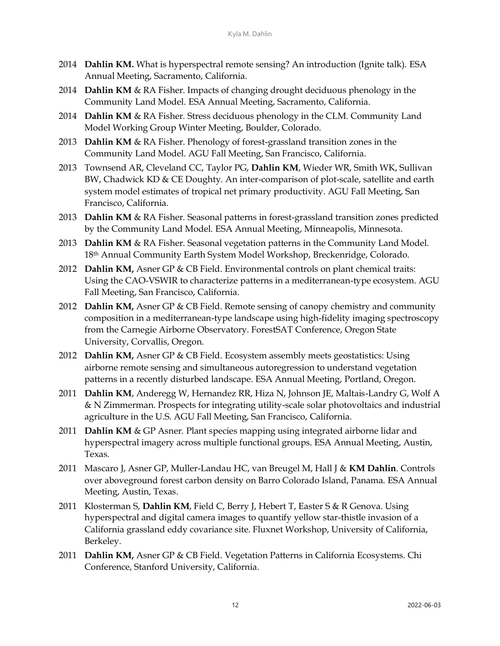- 2014 **Dahlin KM.** What is hyperspectral remote sensing? An introduction (Ignite talk). ESA Annual Meeting, Sacramento, California.
- 2014 **Dahlin KM** & RA Fisher. Impacts of changing drought deciduous phenology in the Community Land Model. ESA Annual Meeting, Sacramento, California.
- 2014 **Dahlin KM** & RA Fisher. Stress deciduous phenology in the CLM. Community Land Model Working Group Winter Meeting, Boulder, Colorado.
- 2013 **Dahlin KM** & RA Fisher. Phenology of forest-grassland transition zones in the Community Land Model. AGU Fall Meeting, San Francisco, California.
- 2013 Townsend AR, Cleveland CC, Taylor PG, **Dahlin KM**, Wieder WR, Smith WK, Sullivan BW, Chadwick KD & CE Doughty. An inter-comparison of plot-scale, satellite and earth system model estimates of tropical net primary productivity. AGU Fall Meeting, San Francisco, California.
- 2013 **Dahlin KM** & RA Fisher. Seasonal patterns in forest-grassland transition zones predicted by the Community Land Model. ESA Annual Meeting, Minneapolis, Minnesota.
- 2013 **Dahlin KM** & RA Fisher. Seasonal vegetation patterns in the Community Land Model. 18th Annual Community Earth System Model Workshop, Breckenridge, Colorado.
- 2012 **Dahlin KM,** Asner GP & CB Field. Environmental controls on plant chemical traits: Using the CAO-VSWIR to characterize patterns in a mediterranean-type ecosystem. AGU Fall Meeting, San Francisco, California.
- 2012 **Dahlin KM,** Asner GP & CB Field. Remote sensing of canopy chemistry and community composition in a mediterranean-type landscape using high-fidelity imaging spectroscopy from the Carnegie Airborne Observatory. ForestSAT Conference, Oregon State University, Corvallis, Oregon.
- 2012 **Dahlin KM,** Asner GP & CB Field. Ecosystem assembly meets geostatistics: Using airborne remote sensing and simultaneous autoregression to understand vegetation patterns in a recently disturbed landscape. ESA Annual Meeting, Portland, Oregon.
- 2011 **Dahlin KM**, Anderegg W, Hernandez RR, Hiza N, Johnson JE, Maltais-Landry G, Wolf A & N Zimmerman. Prospects for integrating utility-scale solar photovoltaics and industrial agriculture in the U.S. AGU Fall Meeting, San Francisco, California.
- 2011 **Dahlin KM** & GP Asner. Plant species mapping using integrated airborne lidar and hyperspectral imagery across multiple functional groups. ESA Annual Meeting, Austin, Texas.
- 2011 Mascaro J, Asner GP, Muller-Landau HC, van Breugel M, Hall J & **KM Dahlin**. Controls over aboveground forest carbon density on Barro Colorado Island, Panama. ESA Annual Meeting, Austin, Texas.
- 2011 Klosterman S, **Dahlin KM**, Field C, Berry J, Hebert T, Easter S & R Genova. Using hyperspectral and digital camera images to quantify yellow star-thistle invasion of a California grassland eddy covariance site. Fluxnet Workshop, University of California, Berkeley.
- 2011 **Dahlin KM,** Asner GP & CB Field. Vegetation Patterns in California Ecosystems. Chi Conference, Stanford University, California.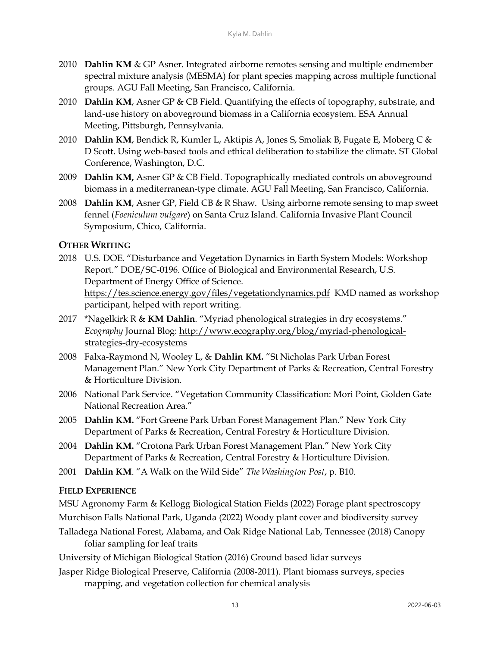- 2010 **Dahlin KM** & GP Asner. Integrated airborne remotes sensing and multiple endmember spectral mixture analysis (MESMA) for plant species mapping across multiple functional groups. AGU Fall Meeting, San Francisco, California.
- 2010 **Dahlin KM**, Asner GP & CB Field. Quantifying the effects of topography, substrate, and land-use history on aboveground biomass in a California ecosystem. ESA Annual Meeting, Pittsburgh, Pennsylvania.
- 2010 **Dahlin KM**, Bendick R, Kumler L, Aktipis A, Jones S, Smoliak B, Fugate E, Moberg C & D Scott. Using web-based tools and ethical deliberation to stabilize the climate. ST Global Conference, Washington, D.C.
- 2009 **Dahlin KM,** Asner GP & CB Field. Topographically mediated controls on aboveground biomass in a mediterranean-type climate. AGU Fall Meeting, San Francisco, California.
- 2008 **Dahlin KM**, Asner GP, Field CB & R Shaw. Using airborne remote sensing to map sweet fennel (*Foeniculum vulgare*) on Santa Cruz Island. California Invasive Plant Council Symposium, Chico, California.

#### **OTHER WRITING**

- 2018 U.S. DOE. "Disturbance and Vegetation Dynamics in Earth System Models: Workshop Report." DOE/SC-0196. Office of Biological and Environmental Research, U.S. Department of Energy Office of Science. <https://tes.science.energy.gov/files/vegetationdynamics.pdf>KMD named as workshop participant, helped with report writing.
- 2017 \*Nagelkirk R & **KM Dahlin**. "Myriad phenological strategies in dry ecosystems." *Ecography* Journal Blog: [http://www.ecography.org/blog/myriad-phenological](http://www.ecography.org/blog/myriad-phenological-strategies-dry-ecosystems)[strategies-dry-ecosystems](http://www.ecography.org/blog/myriad-phenological-strategies-dry-ecosystems)
- 2008 Falxa-Raymond N, Wooley L, & **Dahlin KM.** "St Nicholas Park Urban Forest Management Plan." New York City Department of Parks & Recreation, Central Forestry & Horticulture Division.
- 2006 National Park Service. "Vegetation Community Classification: Mori Point, Golden Gate National Recreation Area."
- 2005 **Dahlin KM.** "Fort Greene Park Urban Forest Management Plan." New York City Department of Parks & Recreation, Central Forestry & Horticulture Division.
- 2004 **Dahlin KM.** "Crotona Park Urban Forest Management Plan." New York City Department of Parks & Recreation, Central Forestry & Horticulture Division.
- 2001 **Dahlin KM**. "A Walk on the Wild Side" *The Washington Post*, p. B10.

#### **FIELD EXPERIENCE**

MSU Agronomy Farm & Kellogg Biological Station Fields (2022) Forage plant spectroscopy

- Murchison Falls National Park, Uganda (2022) Woody plant cover and biodiversity survey
- Talladega National Forest, Alabama, and Oak Ridge National Lab, Tennessee (2018) Canopy foliar sampling for leaf traits
- University of Michigan Biological Station (2016) Ground based lidar surveys
- Jasper Ridge Biological Preserve, California (2008-2011). Plant biomass surveys, species mapping, and vegetation collection for chemical analysis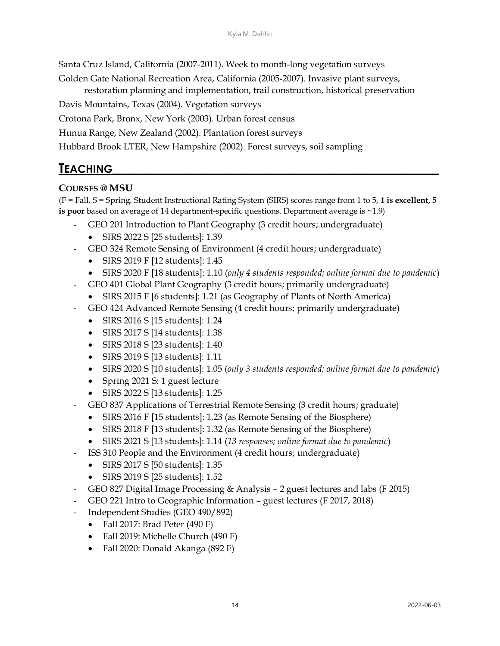Santa Cruz Island, California (2007-2011). Week to month-long vegetation surveys

Golden Gate National Recreation Area, California (2005-2007). Invasive plant surveys, restoration planning and implementation, trail construction, historical preservation

Davis Mountains, Texas (2004). Vegetation surveys

Crotona Park, Bronx, New York (2003). Urban forest census

Hunua Range, New Zealand (2002). Plantation forest surveys

Hubbard Brook LTER, New Hampshire (2002). Forest surveys, soil sampling

## **TEACHING\_\_\_\_\_\_\_\_\_\_\_\_\_\_\_\_\_\_\_\_\_\_\_\_\_\_\_\_\_\_\_\_\_\_\_\_\_\_\_\_\_\_\_\_\_\_\_\_\_\_**

#### **COURSES @ MSU**

(F = Fall, S = Spring. Student Instructional Rating System (SIRS) scores range from 1 to 5, **1 is excellent, 5 is poor** based on average of 14 department-specific questions. Department average is ~1.9)

- GEO 201 Introduction to Plant Geography (3 credit hours; undergraduate)
	- SIRS 2022 S [25 students]: 1.39
- GEO 324 Remote Sensing of Environment (4 credit hours; undergraduate)
	- SIRS 2019 F [12 students]: 1.45
	- SIRS 2020 F [18 students]: 1.10 (*only 4 students responded; online format due to pandemic*)
- GEO 401 Global Plant Geography (3 credit hours; primarily undergraduate)
	- SIRS 2015 F [6 students]: 1.21 (as Geography of Plants of North America)
- GEO 424 Advanced Remote Sensing (4 credit hours; primarily undergraduate)
	- SIRS 2016 S [15 students]: 1.24
	- SIRS 2017 S [14 students]: 1.38
	- SIRS 2018 S [23 students]: 1.40
	- SIRS 2019 S [13 students]: 1.11
	- SIRS 2020 S [10 students]: 1.05 (*only 3 students responded; online format due to pandemic*)
	- Spring 2021 S: 1 guest lecture
	- SIRS 2022 S [13 students]: 1.25
- GEO 837 Applications of Terrestrial Remote Sensing (3 credit hours; graduate)
	- SIRS 2016 F [15 students]: 1.23 (as Remote Sensing of the Biosphere)
	- SIRS 2018 F [13 students]: 1.32 (as Remote Sensing of the Biosphere)
	- SIRS 2021 S [13 students]: 1.14 (*13 responses; online format due to pandemic*)
- ISS 310 People and the Environment (4 credit hours; undergraduate)
	- SIRS 2017 S [50 students]: 1.35
	- SIRS 2019 S [25 students]: 1.52
- GEO 827 Digital Image Processing & Analysis 2 guest lectures and labs (F 2015)
- GEO 221 Intro to Geographic Information guest lectures (F 2017, 2018)
- Independent Studies (GEO 490/892)
	- Fall 2017: Brad Peter (490 F)
	- Fall 2019: Michelle Church (490 F)
	- Fall 2020: Donald Akanga (892 F)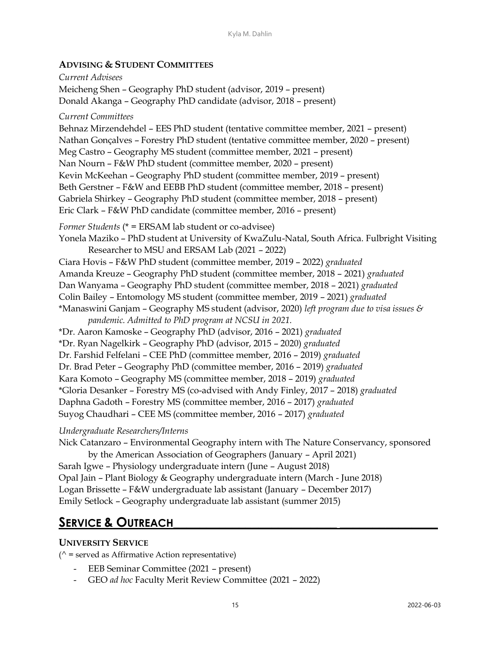#### **ADVISING & STUDENT COMMITTEES**

*Current Advisees* Meicheng Shen – Geography PhD student (advisor, 2019 – present) Donald Akanga – Geography PhD candidate (advisor, 2018 – present) *Current Committees* Behnaz Mirzendehdel – EES PhD student (tentative committee member, 2021 – present) Nathan Gonçalves – Forestry PhD student (tentative committee member, 2020 – present) Meg Castro – Geography MS student (committee member, 2021 – present) Nan Nourn – F&W PhD student (committee member, 2020 – present) Kevin McKeehan – Geography PhD student (committee member, 2019 – present) Beth Gerstner – F&W and EEBB PhD student (committee member, 2018 – present) Gabriela Shirkey – Geography PhD student (committee member, 2018 – present) Eric Clark – F&W PhD candidate (committee member, 2016 – present) *Former Students* (\* = ERSAM lab student or co-advisee) Yonela Maziko – PhD student at University of KwaZulu-Natal, South Africa. Fulbright Visiting Researcher to MSU and ERSAM Lab (2021 – 2022) Ciara Hovis – F&W PhD student (committee member, 2019 – 2022) *graduated* Amanda Kreuze – Geography PhD student (committee member, 2018 – 2021) *graduated* Dan Wanyama – Geography PhD student (committee member, 2018 – 2021) *graduated* Colin Bailey – Entomology MS student (committee member, 2019 – 2021) *graduated* \*Manaswini Ganjam – Geography MS student (advisor, 2020) *left program due to visa issues & pandemic. Admitted to PhD program at NCSU in 2021.* \*Dr. Aaron Kamoske – Geography PhD (advisor, 2016 – 2021) *graduated* \*Dr. Ryan Nagelkirk – Geography PhD (advisor, 2015 – 2020) *graduated* Dr. Farshid Felfelani – CEE PhD (committee member, 2016 – 2019) *graduated* Dr. Brad Peter – Geography PhD (committee member, 2016 – 2019) *graduated* Kara Komoto – Geography MS (committee member, 2018 – 2019) *graduated* \*Gloria Desanker – Forestry MS (co-advised with Andy Finley, 2017 – 2018) *graduated* Daphna Gadoth – Forestry MS (committee member, 2016 – 2017) *graduated* Suyog Chaudhari – CEE MS (committee member, 2016 – 2017) *graduated*

#### *Undergraduate Researchers/Interns*

Nick Catanzaro – Environmental Geography intern with The Nature Conservancy, sponsored by the American Association of Geographers (January – April 2021) Sarah Igwe – Physiology undergraduate intern (June – August 2018) Opal Jain – Plant Biology & Geography undergraduate intern (March - June 2018) Logan Brissette – F&W undergraduate lab assistant (January – December 2017) Emily Setlock – Geography undergraduate lab assistant (summer 2015)

## **SERVICE & OUTREACH\_\_\_\_\_\_\_\_\_\_\_\_\_\_\_\_\_\_\_\_\_\_\_\_\_ \_\_\_\_\_\_\_\_\_\_\_\_\_\_\_**

#### **UNIVERSITY SERVICE**

 $($ <sup> $\wedge$ </sup> = served as Affirmative Action representative)

- EEB Seminar Committee (2021 present)
- GEO *ad hoc* Faculty Merit Review Committee (2021 2022)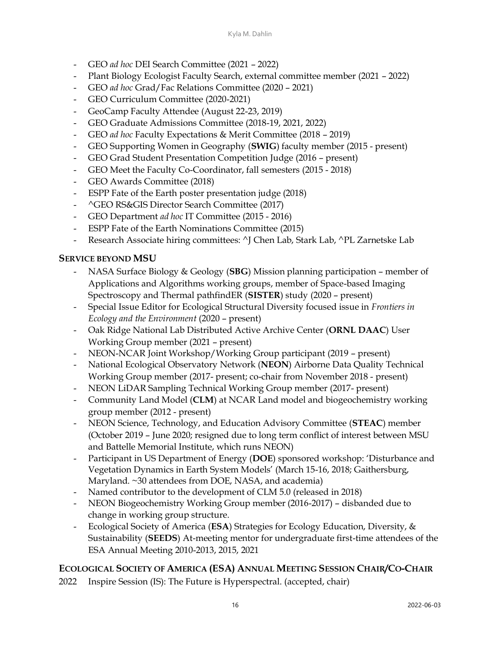- GEO *ad hoc* DEI Search Committee (2021 2022)
- Plant Biology Ecologist Faculty Search, external committee member (2021 2022)
- GEO *ad hoc* Grad/Fac Relations Committee (2020 2021)
- GEO Curriculum Committee (2020-2021)
- GeoCamp Faculty Attendee (August 22-23, 2019)
- GEO Graduate Admissions Committee (2018-19, 2021, 2022)
- GEO *ad hoc* Faculty Expectations & Merit Committee (2018 2019)
- GEO Supporting Women in Geography (**SWIG**) faculty member (2015 present)
- GEO Grad Student Presentation Competition Judge (2016 present)
- GEO Meet the Faculty Co-Coordinator, fall semesters (2015 2018)
- GEO Awards Committee (2018)
- ESPP Fate of the Earth poster presentation judge (2018)
- ^GEO RS&GIS Director Search Committee (2017)
- GEO Department *ad hoc* IT Committee (2015 2016)
- ESPP Fate of the Earth Nominations Committee (2015)
- Research Associate hiring committees: ^J Chen Lab, Stark Lab, ^PL Zarnetske Lab

#### **SERVICE BEYOND MSU**

- NASA Surface Biology & Geology (**SBG**) Mission planning participation member of Applications and Algorithms working groups, member of Space-based Imaging Spectroscopy and Thermal pathfindER (**SISTER**) study (2020 – present)
- Special Issue Editor for Ecological Structural Diversity focused issue in *Frontiers in Ecology and the Environment* (2020 – present)
- Oak Ridge National Lab Distributed Active Archive Center (**ORNL DAAC**) User Working Group member (2021 – present)
- NEON-NCAR Joint Workshop/Working Group participant (2019 present)
- National Ecological Observatory Network (**NEON**) Airborne Data Quality Technical Working Group member (2017- present; co-chair from November 2018 - present)
- NEON LiDAR Sampling Technical Working Group member (2017- present)
- Community Land Model (**CLM**) at NCAR Land model and biogeochemistry working group member (2012 - present)
- NEON Science, Technology, and Education Advisory Committee (**STEAC**) member (October 2019 – June 2020; resigned due to long term conflict of interest between MSU and Battelle Memorial Institute, which runs NEON)
- Participant in US Department of Energy (**DOE**) sponsored workshop: 'Disturbance and Vegetation Dynamics in Earth System Models' (March 15-16, 2018; Gaithersburg, Maryland. ~30 attendees from DOE, NASA, and academia)
- Named contributor to the development of CLM 5.0 (released in 2018)
- NEON Biogeochemistry Working Group member (2016-2017) disbanded due to change in working group structure.
- Ecological Society of America (**ESA**) Strategies for Ecology Education, Diversity, & Sustainability (**SEEDS**) At-meeting mentor for undergraduate first-time attendees of the ESA Annual Meeting 2010-2013, 2015, 2021

#### **ECOLOGICAL SOCIETY OF AMERICA (ESA) ANNUAL MEETING SESSION CHAIR/CO-CHAIR**

2022 Inspire Session (IS): The Future is Hyperspectral. (accepted, chair)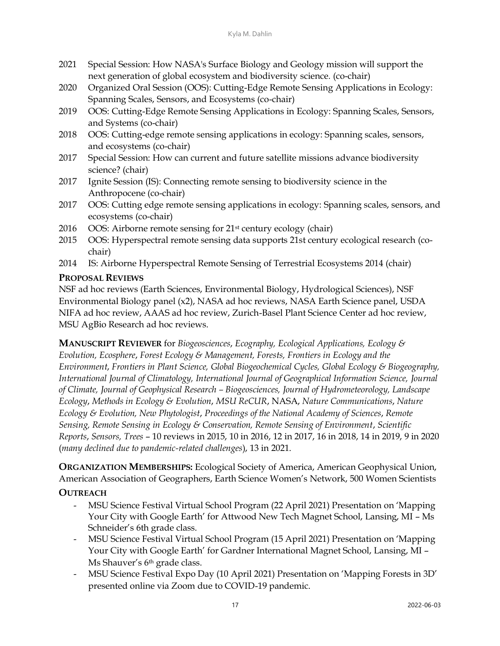- 2021 Special Session: How NASA's Surface Biology and Geology mission will support the next generation of global ecosystem and biodiversity science*.* (co-chair)
- 2020 Organized Oral Session (OOS): Cutting-Edge Remote Sensing Applications in Ecology: Spanning Scales, Sensors, and Ecosystems (co-chair)
- 2019 OOS: Cutting-Edge Remote Sensing Applications in Ecology: Spanning Scales, Sensors, and Systems (co-chair)
- 2018 OOS: Cutting-edge remote sensing applications in ecology: Spanning scales, sensors, and ecosystems (co-chair)
- 2017 Special Session: How can current and future satellite missions advance biodiversity science? (chair)
- 2017 Ignite Session (IS): Connecting remote sensing to biodiversity science in the Anthropocene (co-chair)
- 2017 OOS: Cutting edge remote sensing applications in ecology: Spanning scales, sensors, and ecosystems (co-chair)
- 2016 OOS: Airborne remote sensing for 21st century ecology (chair)
- 2015 OOS: Hyperspectral remote sensing data supports 21st century ecological research (cochair)
- 2014 IS: Airborne Hyperspectral Remote Sensing of Terrestrial Ecosystems 2014 (chair)

#### **PROPOSAL REVIEWS**

NSF ad hoc reviews (Earth Sciences, Environmental Biology, Hydrological Sciences), NSF Environmental Biology panel (x2), NASA ad hoc reviews, NASA Earth Science panel, USDA NIFA ad hoc review, AAAS ad hoc review, Zurich-Basel Plant Science Center ad hoc review, MSU AgBio Research ad hoc reviews.

**MANUSCRIPT REVIEWER** for *Biogeosciences*, *Ecography, Ecological Applications, Ecology & Evolution, Ecosphere*, *Forest Ecology & Management, Forests, Frontiers in Ecology and the Environment*, *Frontiers in Plant Science, Global Biogeochemical Cycles, Global Ecology & Biogeography, International Journal of Climatology, International Journal of Geographical Information Science, Journal of Climate, Journal of Geophysical Research – Biogeosciences, Journal of Hydrometeorology, Landscape Ecology*, *Methods in Ecology & Evolution*, *MSU ReCUR*, NASA, *Nature Communications*, *Nature Ecology & Evolution, New Phytologist*, *Proceedings of the National Academy of Sciences*, *Remote Sensing, Remote Sensing in Ecology & Conservation, Remote Sensing of Environment*, *Scientific Reports*, *Sensors, Trees* – 10 reviews in 2015, 10 in 2016, 12 in 2017, 16 in 2018, 14 in 2019, 9 in 2020 (*many declined due to pandemic-related challenges*), 13 in 2021.

**ORGANIZATION MEMBERSHIPS:** Ecological Society of America, American Geophysical Union, American Association of Geographers, Earth Science Women's Network, 500 Women Scientists

#### **OUTREACH**

- MSU Science Festival Virtual School Program (22 April 2021) Presentation on 'Mapping Your City with Google Earth' for Attwood New Tech Magnet School, Lansing, MI – Ms Schneider's 6th grade class.
- MSU Science Festival Virtual School Program (15 April 2021) Presentation on 'Mapping Your City with Google Earth' for Gardner International Magnet School, Lansing, MI – Ms Shauver's 6th grade class.
- MSU Science Festival Expo Day (10 April 2021) Presentation on 'Mapping Forests in 3D' presented online via Zoom due to COVID-19 pandemic.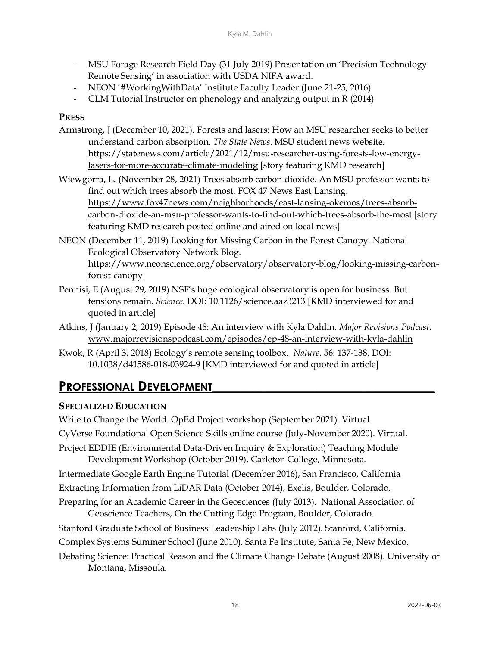- MSU Forage Research Field Day (31 July 2019) Presentation on 'Precision Technology Remote Sensing' in association with USDA NIFA award.
- NEON '#WorkingWithData' Institute Faculty Leader (June 21-25, 2016)
- CLM Tutorial Instructor on phenology and analyzing output in R (2014)

#### **PRESS**

- Armstrong, J (December 10, 2021). Forests and lasers: How an MSU researcher seeks to better understand carbon absorption. *The State News*. MSU student news website. [https://statenews.com/article/2021/12/msu-researcher-using-forests-low-energy](https://statenews.com/article/2021/12/msu-researcher-using-forests-low-energy-lasers-for-more-accurate-climate-modeling)[lasers-for-more-accurate-climate-modeling](https://statenews.com/article/2021/12/msu-researcher-using-forests-low-energy-lasers-for-more-accurate-climate-modeling) [story featuring KMD research]
- Wiewgorra, L. (November 28, 2021) Trees absorb carbon dioxide. An MSU professor wants to find out which trees absorb the most. FOX 47 News East Lansing. [https://www.fox47news.com/neighborhoods/east-lansing-okemos/trees-absorb](https://www.fox47news.com/neighborhoods/east-lansing-okemos/trees-absorb-carbon-dioxide-an-msu-professor-wants-to-find-out-which-trees-absorb-the-most)[carbon-dioxide-an-msu-professor-wants-to-find-out-which-trees-absorb-the-most](https://www.fox47news.com/neighborhoods/east-lansing-okemos/trees-absorb-carbon-dioxide-an-msu-professor-wants-to-find-out-which-trees-absorb-the-most) [story featuring KMD research posted online and aired on local news]
- NEON (December 11, 2019) Looking for Missing Carbon in the Forest Canopy. National Ecological Observatory Network Blog. [https://www.neonscience.org/observatory/observatory-blog/looking-missing-carbon](https://www.neonscience.org/observatory/observatory-blog/looking-missing-carbon-forest-canopy)[forest-canopy](https://www.neonscience.org/observatory/observatory-blog/looking-missing-carbon-forest-canopy)
- Pennisi, E (August 29, 2019) NSF's huge ecological observatory is open for business. But tensions remain. *Science*. DOI: 10.1126/science.aaz3213 [KMD interviewed for and quoted in article]
- Atkins, J (January 2, 2019) Episode 48: An interview with Kyla Dahlin. *Major Revisions Podcast*. [www.majorrevisionspodcast.com/episodes/ep-48-an-interview-with-kyla-dahlin](http://www.majorrevisionspodcast.com/episodes/ep-48-an-interview-with-kyla-dahlin)
- Kwok, R (April 3, 2018) Ecology's remote sensing toolbox. *Nature.* 56: 137-138. DOI: 10.1038/d41586-018-03924-9 [KMD interviewed for and quoted in article]

### **PROFESSIONAL DEVELOPMENT**

#### **SPECIALIZED EDUCATION**

Write to Change the World. OpEd Project workshop (September 2021). Virtual. CyVerse Foundational Open Science Skills online course (July-November 2020). Virtual. Project EDDIE (Environmental Data-Driven Inquiry & Exploration) Teaching Module

Development Workshop (October 2019). Carleton College, Minnesota.

Intermediate Google Earth Engine Tutorial (December 2016), San Francisco, California

- Extracting Information from LiDAR Data (October 2014), Exelis, Boulder, Colorado.
- Preparing for an Academic Career in the Geosciences (July 2013). National Association of Geoscience Teachers, On the Cutting Edge Program, Boulder, Colorado.
- Stanford Graduate School of Business Leadership Labs (July 2012). Stanford, California.
- Complex Systems Summer School (June 2010). Santa Fe Institute, Santa Fe, New Mexico.
- Debating Science: Practical Reason and the Climate Change Debate (August 2008). University of Montana, Missoula.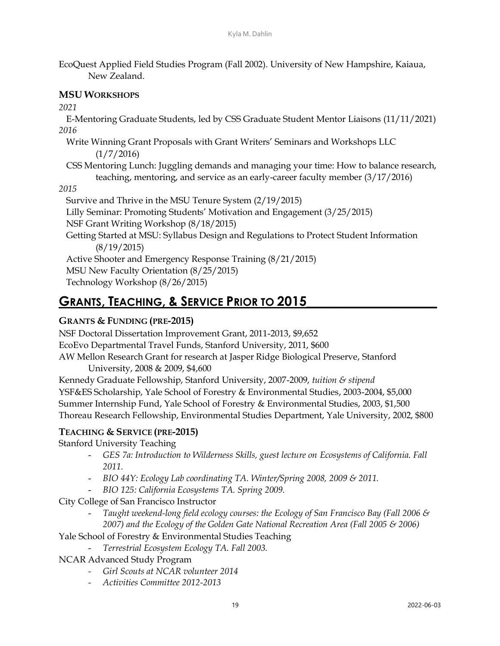EcoQuest Applied Field Studies Program (Fall 2002). University of New Hampshire, Kaiaua, New Zealand.

#### **MSU WORKSHOPS**

*2021*

E-Mentoring Graduate Students, led by CSS Graduate Student Mentor Liaisons (11/11/2021) *2016*

Write Winning Grant Proposals with Grant Writers' Seminars and Workshops LLC  $(1/7/2016)$ 

CSS Mentoring Lunch: Juggling demands and managing your time: How to balance research, teaching, mentoring, and service as an early-career faculty member (3/17/2016)

#### *2015*

Survive and Thrive in the MSU Tenure System (2/19/2015) Lilly Seminar: Promoting Students' Motivation and Engagement (3/25/2015) NSF Grant Writing Workshop (8/18/2015) Getting Started at MSU: Syllabus Design and Regulations to Protect Student Information (8/19/2015) Active Shooter and Emergency Response Training (8/21/2015) MSU New Faculty Orientation (8/25/2015) Technology Workshop (8/26/2015)

## **GRANTS, TEACHING, & SERVICE PRIOR TO 2015\_\_\_\_\_\_\_\_\_\_\_\_\_\_\_\_\_\_\_\_**

#### **GRANTS & FUNDING (PRE-2015)**

NSF Doctoral Dissertation Improvement Grant, 2011-2013, \$9,652 EcoEvo Departmental Travel Funds, Stanford University, 2011, \$600 AW Mellon Research Grant for research at Jasper Ridge Biological Preserve, Stanford University, 2008 & 2009, \$4,600 Kennedy Graduate Fellowship, Stanford University, 2007-2009, *tuition & stipend* YSF&ES Scholarship, Yale School of Forestry & Environmental Studies, 2003-2004, \$5,000 Summer Internship Fund, Yale School of Forestry & Environmental Studies, 2003, \$1,500 Thoreau Research Fellowship, Environmental Studies Department, Yale University, 2002, \$800

#### **TEACHING & SERVICE (PRE-2015)**

Stanford University Teaching

- *GES 7a: Introduction to Wilderness Skills, guest lecture on Ecosystems of California. Fall 2011.*
- *BIO 44Y: Ecology Lab coordinating TA. Winter/Spring 2008, 2009 & 2011.*
- *BIO 125: California Ecosystems TA. Spring 2009.*
- City College of San Francisco Instructor
	- Taught weekend-long field ecology courses: the Ecology of San Francisco Bay (Fall 2006 & *2007) and the Ecology of the Golden Gate National Recreation Area (Fall 2005 & 2006)*
- Yale School of Forestry & Environmental Studies Teaching
	- *Terrestrial Ecosystem Ecology TA. Fall 2003.*
- NCAR Advanced Study Program
	- *- Girl Scouts at NCAR volunteer 2014*
	- *- Activities Committee 2012-2013*